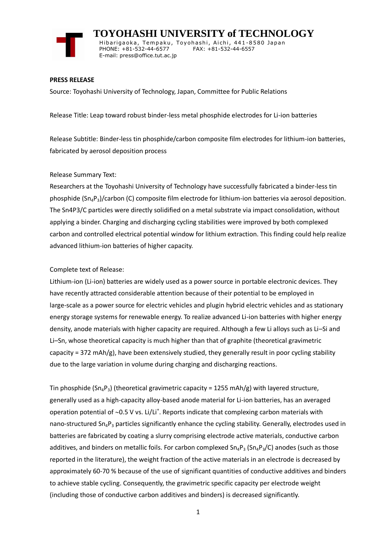

 **TOYOHASHI UNIVERSITY of TECHNOLOGY** Hibarigaoka, Tempaku, Toyohashi, Aichi, 441-8580 Japan PHONE: +81-532-44-6577 FAX: +81-532-44-6557 E-mail: press@office.tut.ac.jp

### **PRESS RELEASE**

Source: Toyohashi University of Technology, Japan, Committee for Public Relations

Release Title: Leap toward robust binder-less metal phosphide electrodes for Li-ion batteries

Release Subtitle: Binder-less tin phosphide/carbon composite film electrodes for lithium-ion batteries, fabricated by aerosol deposition process

### Release Summary Text:

Researchers at the Toyohashi University of Technology have successfully fabricated a binder-less tin phosphide  $(Sn_4P_3)/c$ arbon (C) composite film electrode for lithium-ion batteries via aerosol deposition. The Sn4P3/C particles were directly solidified on a metal substrate via impact consolidation, without applying a binder. Charging and discharging cycling stabilities were improved by both complexed carbon and controlled electrical potential window for lithium extraction. This finding could help realize advanced lithium-ion batteries of higher capacity.

### Complete text of Release:

Lithium-ion (Li-ion) batteries are widely used as a power source in portable electronic devices. They have recently attracted considerable attention because of their potential to be employed in large-scale as a power source for electric vehicles and plugin hybrid electric vehicles and as stationary energy storage systems for renewable energy. To realize advanced Li-ion batteries with higher energy density, anode materials with higher capacity are required. Although a few Li alloys such as Li–Si and Li–Sn, whose theoretical capacity is much higher than that of graphite (theoretical gravimetric capacity = 372 mAh/g), have been extensively studied, they generally result in poor cycling stability due to the large variation in volume during charging and discharging reactions.

Tin phosphide ( $Sn_4P_3$ ) (theoretical gravimetric capacity = 1255 mAh/g) with layered structure, generally used as a high-capacity alloy-based anode material for Li-ion batteries, has an averaged operation potential of  $\sim$ 0.5 V vs. Li/Li<sup>+</sup>. Reports indicate that complexing carbon materials with nano-structured  $Sn_4P_3$  particles significantly enhance the cycling stability. Generally, electrodes used in batteries are fabricated by coating a slurry comprising electrode active materials, conductive carbon additives, and binders on metallic foils. For carbon complexed  $Sn_4P_3(Sn_4P_3/C)$  anodes (such as those reported in the literature), the weight fraction of the active materials in an electrode is decreased by approximately 60-70 % because of the use of significant quantities of conductive additives and binders to achieve stable cycling. Consequently, the gravimetric specific capacity per electrode weight (including those of conductive carbon additives and binders) is decreased significantly.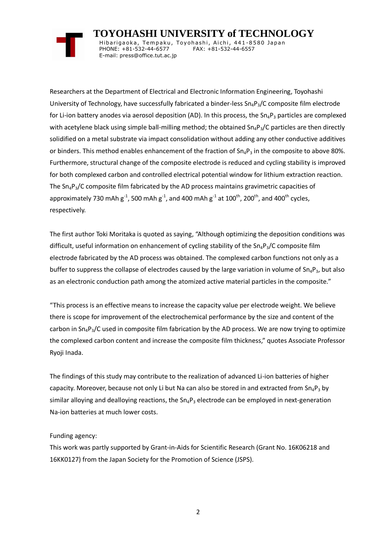# **TOYOHASHI UNIVERSITY of TECHNOLOGY**

Hibarigaoka, Tempaku, Toyohashi, Aichi, 441-8580 Japan PHONE: +81-532-44-6577 FAX: +81-532-44-6557 E-mail: press@office.tut.ac.jp

Researchers at the Department of Electrical and Electronic Information Engineering, Toyohashi University of Technology, have successfully fabricated a binder-less  $Sn_4P_3/C$  composite film electrode for Li-ion battery anodes via aerosol deposition (AD). In this process, the  $Sn_4P_3$  particles are complexed with acetylene black using simple ball-milling method; the obtained  $Sn_4P_3/C$  particles are then directly solidified on a metal substrate via impact consolidation without adding any other conductive additives or binders. This method enables enhancement of the fraction of  $Sn_4P_3$  in the composite to above 80%. Furthermore, structural change of the composite electrode is reduced and cycling stability is improved for both complexed carbon and controlled electrical potential window for lithium extraction reaction. The Sn4P3/C composite film fabricated by the AD process maintains gravimetric capacities of approximately 730 mAh g<sup>-1</sup>, 500 mAh g<sup>-1</sup>, and 400 mAh g<sup>-1</sup> at 100<sup>th</sup>, 200<sup>th</sup>, and 400<sup>th</sup> cycles, respectively.

The first author Toki Moritaka is quoted as saying, "Although optimizing the deposition conditions was difficult, useful information on enhancement of cycling stability of the  $Sn_4P_3/C$  composite film electrode fabricated by the AD process was obtained. The complexed carbon functions not only as a buffer to suppress the collapse of electrodes caused by the large variation in volume of  $Sn_4P_3$ , but also as an electronic conduction path among the atomized active material particles in the composite."

"This process is an effective means to increase the capacity value per electrode weight. We believe there is scope for improvement of the electrochemical performance by the size and content of the carbon in  $Sn_4P_3/C$  used in composite film fabrication by the AD process. We are now trying to optimize the complexed carbon content and increase the composite film thickness," quotes Associate Professor Ryoji Inada.

The findings of this study may contribute to the realization of advanced Li-ion batteries of higher capacity. Moreover, because not only Li but Na can also be stored in and extracted from  $Sn_4P_3$  by similar alloying and dealloying reactions, the  $Sn_4P_3$  electrode can be employed in next-generation Na-ion batteries at much lower costs.

## Funding agency:

This work was partly supported by Grant-in-Aids for Scientific Research (Grant No. 16K06218 and 16KK0127) from the Japan Society for the Promotion of Science (JSPS).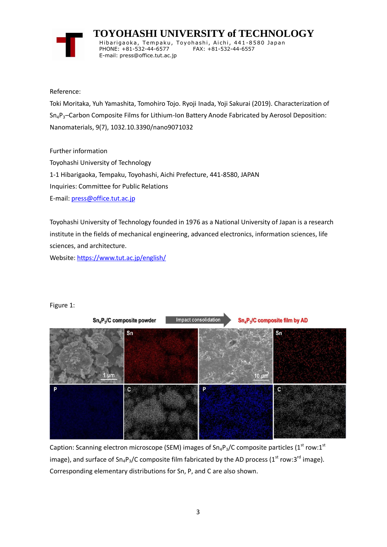

 **TOYOHASHI UNIVERSITY of TECHNOLOGY** Hibarigaoka, Tempaku, Toyohashi, Aichi, 441-8580 Japan PHONE: +81-532-44-6577 FAX: +81-532-44-6557 E-mail: press@office.tut.ac.jp

Reference:

Toki Moritaka, Yuh Yamashita, Tomohiro Tojo. Ryoji Inada, Yoji Sakurai (2019). Characterization of Sn4P3–Carbon Composite Films for Lithium-Ion Battery Anode Fabricated by Aerosol Deposition: Nanomaterials, 9(7), 1032.10.3390/nano9071032

Further information

Toyohashi University of Technology 1-1 Hibarigaoka, Tempaku, Toyohashi, Aichi Prefecture, 441-8580, JAPAN Inquiries: Committee for Public Relations E-mail: [press@office.tut.ac.jp](mailto:press@office.tut.ac.jp)

Toyohashi University of Technology founded in 1976 as a National University of Japan is a research institute in the fields of mechanical engineering, advanced electronics, information sciences, life sciences, and architecture.

Website[: https://www.tut.ac.jp/english/](https://www.tut.ac.jp/english/)





Caption: Scanning electron microscope (SEM) images of Sn<sub>4</sub>P<sub>3</sub>/C composite particles (1<sup>st</sup> row:1<sup>st</sup> image), and surface of  $Sn_4P_3/C$  composite film fabricated by the AD process (1<sup>st</sup> row:3<sup>rd</sup> image). Corresponding elementary distributions for Sn, P, and C are also shown.